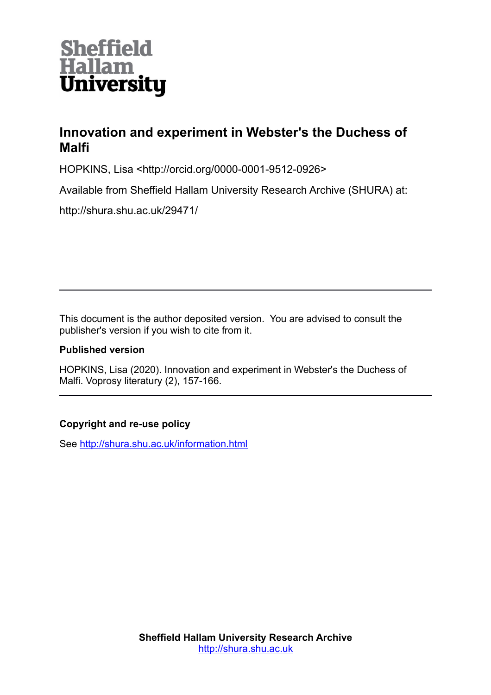

## **Innovation and experiment in Webster's the Duchess of Malfi**

HOPKINS, Lisa <http://orcid.org/0000-0001-9512-0926>

Available from Sheffield Hallam University Research Archive (SHURA) at:

http://shura.shu.ac.uk/29471/

This document is the author deposited version. You are advised to consult the publisher's version if you wish to cite from it.

## **Published version**

HOPKINS, Lisa (2020). Innovation and experiment in Webster's the Duchess of Malfi. Voprosy literatury (2), 157-166.

## **Copyright and re-use policy**

See<http://shura.shu.ac.uk/information.html>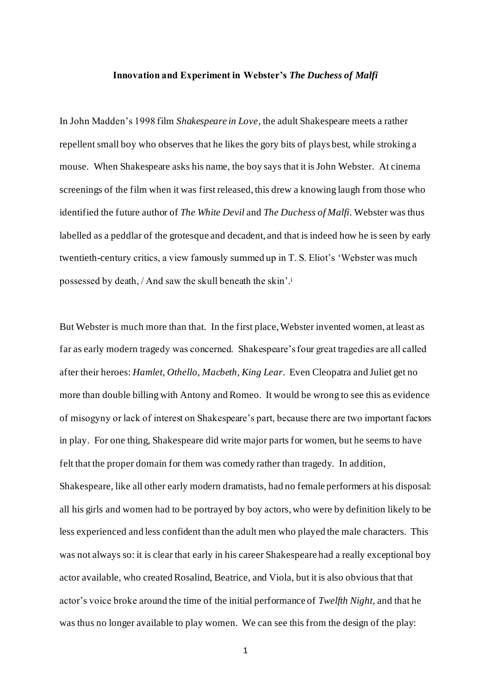## **Innovation and Experiment in Webster's** *The Duchess of Malfi*

In John Madden's 1998 film *Shakespeare in Love*, the adult Shakespeare meets a rather repellent small boy who observes that he likes the gory bits of plays best, while stroking a mouse. When Shakespeare asks his name, the boy says that it is John Webster. At cinema screenings of the film when it was first released, this drew a knowing laugh from those who identified the future author of *The White Devil* and *The Duchess of Malfi*. Webster was thus labelled as a peddlar of the grotesque and decadent, and that is indeed how he is seen by early twentieth-century critics, a view famously summed up in T. S. Eliot's 'Webster was much possessed by death, / And saw the skull beneath the skin'.<sup>i</sup>

But Webster is much more than that. In the first place, Webster invented women, at least as far as early modern tragedy was concerned. Shakespeare's four great tragedies are all called after their heroes: *Hamlet*, *Othello*, *Macbeth*, *King Lear*. Even Cleopatra and Juliet get no more than double billing with Antony and Romeo. It would be wrong to see this as evidence of misogyny or lack of interest on Shakespeare's part, because there are two important factors in play. For one thing, Shakespeare did write major parts for women, but he seems to have felt that the proper domain for them was comedy rather than tragedy. In addition, Shakespeare, like all other early modern dramatists, had no female performers at his disposal: all his girls and women had to be portrayed by boy actors, who were by definition likely to be less experienced and less confident than the adult men who played the male characters. This was not always so: it is clear that early in his career Shakespeare had a really exceptional boy actor available, who created Rosalind, Beatrice, and Viola, but it is also obvious that that actor's voice broke around the time of the initial performance of *Twelfth Night*, and that he was thus no longer available to play women. We can see this from the design of the play: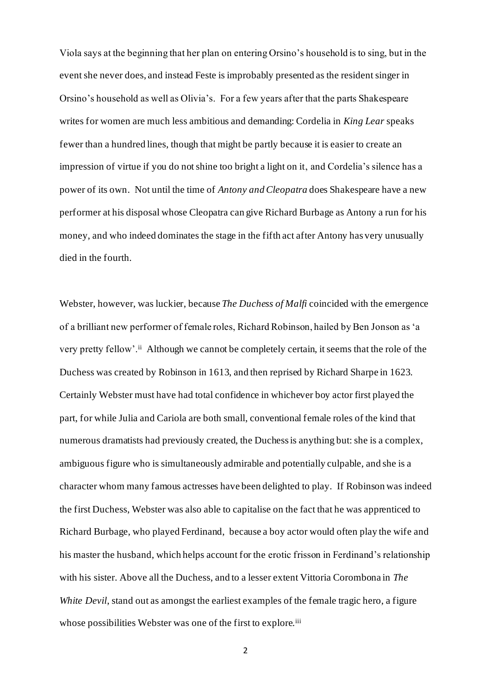Viola says at the beginning that her plan on entering Orsino's household is to sing, but in the event she never does, and instead Feste is improbably presented as the resident singer in Orsino's household as well as Olivia's. For a few years after that the parts Shakespeare writes for women are much less ambitious and demanding: Cordelia in *King Lear* speaks fewer than a hundred lines, though that might be partly because it is easier to create an impression of virtue if you do not shine too bright a light on it, and Cordelia's silence has a power of its own. Not until the time of *Antony and Cleopatra* does Shakespeare have a new performer at his disposal whose Cleopatra can give Richard Burbage as Antony a run for his money, and who indeed dominates the stage in the fifth act after Antony has very unusually died in the fourth.

Webster, however, was luckier, because *The Duchess of Malfi* coincided with the emergence of a brilliant new performer of female roles, Richard Robinson, hailed by Ben Jonson as 'a very pretty fellow'.<sup>ii</sup> Although we cannot be completely certain, it seems that the role of the Duchess was created by Robinson in 1613, and then reprised by Richard Sharpe in 1623. Certainly Webster must have had total confidence in whichever boy actor first played the part, for while Julia and Cariola are both small, conventional female roles of the kind that numerous dramatists had previously created, the Duchess is anything but: she is a complex, ambiguous figure who is simultaneously admirable and potentially culpable, and she is a character whom many famous actresses have been delighted to play. If Robinson was indeed the first Duchess, Webster was also able to capitalise on the fact that he was apprenticed to Richard Burbage, who played Ferdinand, because a boy actor would often play the wife and his master the husband, which helps account for the erotic frisson in Ferdinand's relationship with his sister. Above all the Duchess, and to a lesser extent Vittoria Corombona in *The White Devil*, stand out as amongst the earliest examples of the female tragic hero, a figure whose possibilities Webster was one of the first to explore.<sup>iii</sup>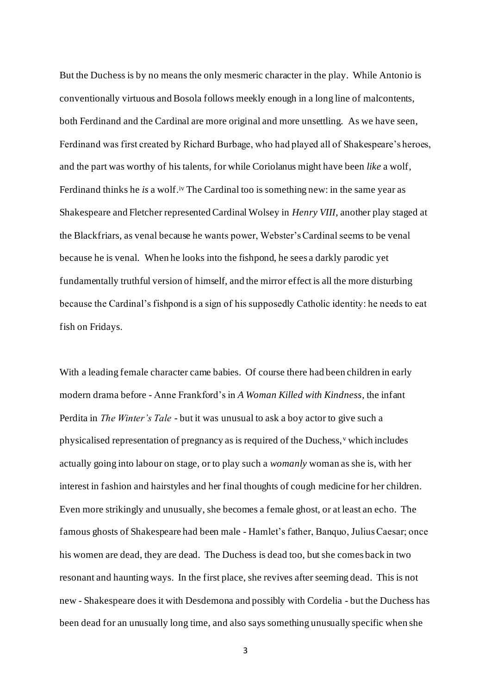But the Duchess is by no means the only mesmeric character in the play. While Antonio is conventionally virtuous and Bosola follows meekly enough in a long line of malcontents, both Ferdinand and the Cardinal are more original and more unsettling. As we have seen, Ferdinand was first created by Richard Burbage, who had played all of Shakespeare's heroes, and the part was worthy of his talents, for while Coriolanus might have been *like* a wolf, Ferdinand thinks he *is* a wolf.<sup>iv</sup> The Cardinal too is something new: in the same year as Shakespeare and Fletcher represented Cardinal Wolsey in *Henry VIII*, another play staged at the Blackfriars, as venal because he wants power, Webster's Cardinal seems to be venal because he is venal. When he looks into the fishpond, he sees a darkly parodic yet fundamentally truthful version of himself, and the mirror effect is all the more disturbing because the Cardinal's fishpond is a sign of his supposedly Catholic identity: he needs to eat fish on Fridays.

With a leading female character came babies. Of course there had been children in early modern drama before - Anne Frankford's in *A Woman Killed with Kindness*, the infant Perdita in *The Winter's Tale* - but it was unusual to ask a boy actor to give such a physicalised representation of pregnancy as is required of the Duchess, <sup>v</sup> which includes actually going into labour on stage, or to play such a *womanly* woman as she is, with her interest in fashion and hairstyles and her final thoughts of cough medicine for her children. Even more strikingly and unusually, she becomes a female ghost, or at least an echo. The famous ghosts of Shakespeare had been male - Hamlet's father, Banquo, Julius Caesar; once his women are dead, they are dead. The Duchess is dead too, but she comes back in two resonant and haunting ways. In the first place, she revives after seeming dead. This is not new - Shakespeare does it with Desdemona and possibly with Cordelia - but the Duchess has been dead for an unusually long time, and also says something unusually specific when she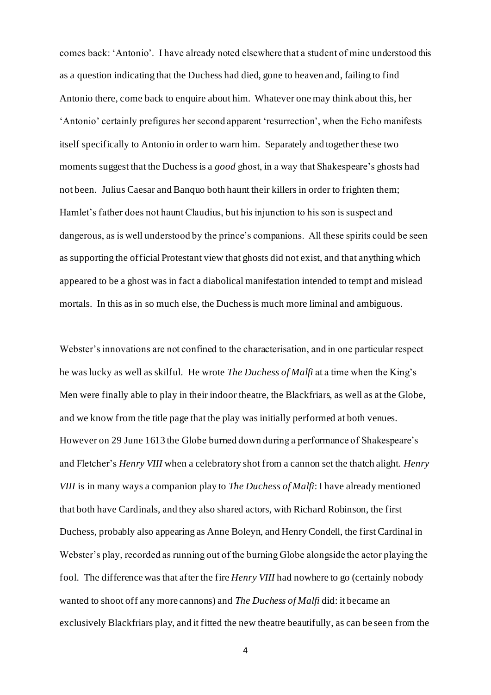comes back: 'Antonio'. I have already noted elsewhere that a student of mine understood this as a question indicating that the Duchess had died, gone to heaven and, failing to find Antonio there, come back to enquire about him. Whatever one may think about this, her 'Antonio' certainly prefigures her second apparent 'resurrection', when the Echo manifests itself specifically to Antonio in order to warn him. Separately and together these two moments suggest that the Duchess is a *good* ghost, in a way that Shakespeare's ghosts had not been. Julius Caesar and Banquo both haunt their killers in order to frighten them; Hamlet's father does not haunt Claudius, but his injunction to his son is suspect and dangerous, as is well understood by the prince's companions. All these spirits could be seen as supporting the official Protestant view that ghosts did not exist, and that anything which appeared to be a ghost was in fact a diabolical manifestation intended to tempt and mislead mortals. In this as in so much else, the Duchess is much more liminal and ambiguous.

Webster's innovations are not confined to the characterisation, and in one particular respect he was lucky as well as skilful. He wrote *The Duchess of Malfi* at a time when the King's Men were finally able to play in their indoor theatre, the Blackfriars, as well as at the Globe, and we know from the title page that the play was initially performed at both venues. However on 29 June 1613 the Globe burned down during a performance of Shakespeare's and Fletcher's *Henry VIII* when a celebratory shot from a cannon set the thatch alight. *Henry VIII* is in many ways a companion play to *The Duchess of Malfi*: I have already mentioned that both have Cardinals, and they also shared actors, with Richard Robinson, the first Duchess, probably also appearing as Anne Boleyn, and Henry Condell, the first Cardinal in Webster's play, recorded as running out of the burning Globe alongside the actor playing the fool. The difference was that after the fire *Henry VIII* had nowhere to go (certainly nobody wanted to shoot off any more cannons) and *The Duchess of Malfi* did: it became an exclusively Blackfriars play, and it fitted the new theatre beautifully, as can be seen from the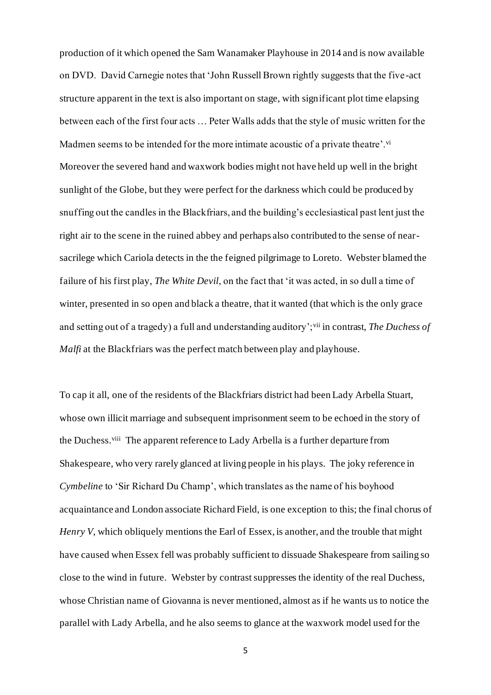production of it which opened the Sam Wanamaker Playhouse in 2014 and is now available on DVD. David Carnegie notes that 'John Russell Brown rightly suggests that the five -act structure apparent in the text is also important on stage, with significant plot time elapsing between each of the first four acts … Peter Walls adds that the style of music written for the Madmen seems to be intended for the more intimate acoustic of a private theatre'.<sup>vi</sup> Moreover the severed hand and waxwork bodies might not have held up well in the bright sunlight of the Globe, but they were perfect for the darkness which could be produced by snuffing out the candles in the Blackfriars, and the building's ecclesiastical past lent just the right air to the scene in the ruined abbey and perhaps also contributed to the sense of nearsacrilege which Cariola detects in the the feigned pilgrimage to Loreto. Webster blamed the failure of his first play, *The White Devil*, on the fact that 'it was acted, in so dull a time of winter, presented in so open and black a theatre, that it wanted (that which is the only grace and setting out of a tragedy) a full and understanding auditory';vii in contrast, *The Duchess of Malfi* at the Blackfriars was the perfect match between play and playhouse.

To cap it all, one of the residents of the Blackfriars district had been Lady Arbella Stuart, whose own illicit marriage and subsequent imprisonment seem to be echoed in the story of the Duchess.<sup>viii</sup> The apparent reference to Lady Arbella is a further departure from Shakespeare, who very rarely glanced at living people in his plays. The joky reference in *Cymbeline* to 'Sir Richard Du Champ', which translates as the name of his boyhood acquaintance and London associate Richard Field, is one exception to this; the final chorus of *Henry V*, which obliquely mentions the Earl of Essex, is another, and the trouble that might have caused when Essex fell was probably sufficient to dissuade Shakespeare from sailing so close to the wind in future. Webster by contrast suppresses the identity of the real Duchess, whose Christian name of Giovanna is never mentioned, almost as if he wants us to notice the parallel with Lady Arbella, and he also seems to glance at the waxwork model used for the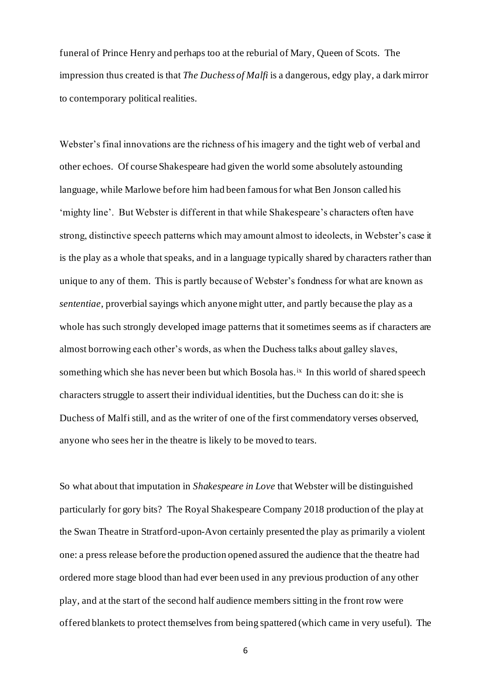funeral of Prince Henry and perhaps too at the reburial of Mary, Queen of Scots. The impression thus created is that *The Duchess of Malfi* is a dangerous, edgy play, a dark mirror to contemporary political realities.

Webster's final innovations are the richness of his imagery and the tight web of verbal and other echoes. Of course Shakespeare had given the world some absolutely astounding language, while Marlowe before him had been famous for what Ben Jonson called his 'mighty line'. But Webster is different in that while Shakespeare's characters often have strong, distinctive speech patterns which may amount almost to ideolects, in Webster's case it is the play as a whole that speaks, and in a language typically shared by characters rather than unique to any of them. This is partly because of Webster's fondness for what are known as *sententiae*, proverbial sayings which anyone might utter, and partly because the play as a whole has such strongly developed image patterns that it sometimes seems as if characters are almost borrowing each other's words, as when the Duchess talks about galley slaves, something which she has never been but which Bosola has.<sup>ix</sup> In this world of shared speech characters struggle to assert their individual identities, but the Duchess can do it: she is Duchess of Malfi still, and as the writer of one of the first commendatory verses observed, anyone who sees her in the theatre is likely to be moved to tears.

So what about that imputation in *Shakespeare in Love* that Webster will be distinguished particularly for gory bits? The Royal Shakespeare Company 2018 production of the play at the Swan Theatre in Stratford-upon-Avon certainly presented the play as primarily a violent one: a press release before the production opened assured the audience that the theatre had ordered more stage blood than had ever been used in any previous production of any other play, and at the start of the second half audience members sitting in the front row were offered blankets to protect themselves from being spattered (which came in very useful). The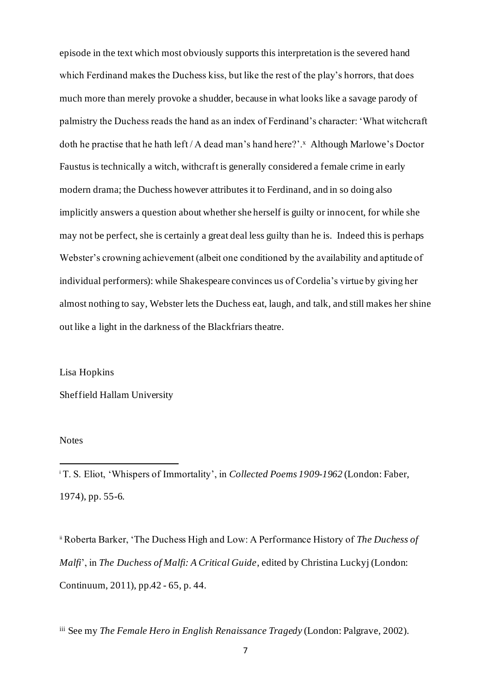episode in the text which most obviously supports this interpretation is the severed hand which Ferdinand makes the Duchess kiss, but like the rest of the play's horrors, that does much more than merely provoke a shudder, because in what looks like a savage parody of palmistry the Duchess reads the hand as an index of Ferdinand's character: 'What witchcraft doth he practise that he hath left / A dead man's hand here?'.<sup>x</sup> Although Marlowe's Doctor Faustus is technically a witch, withcraft is generally considered a female crime in early modern drama; the Duchess however attributes it to Ferdinand, and in so doing also implicitly answers a question about whether she herself is guilty or innocent, for while she may not be perfect, she is certainly a great deal less guilty than he is. Indeed this is perhaps Webster's crowning achievement (albeit one conditioned by the availability and aptitude of individual performers): while Shakespeare convinces us of Cordelia's virtue by giving her almost nothing to say, Webster lets the Duchess eat, laugh, and talk, and still makes her shine out like a light in the darkness of the Blackfriars theatre.

Lisa Hopkins

Sheffield Hallam University

**Notes** 

<sup>i</sup> T. S. Eliot, 'Whispers of Immortality', in *Collected Poems 1909-1962* (London: Faber, 1974), pp. 55-6.

ii Roberta Barker, 'The Duchess High and Low: A Performance History of *The Duchess of Malfi*', in *The Duchess of Malfi: A Critical Guide*, edited by Christina Luckyj (London: Continuum, 2011), pp.42 - 65, p. 44.

iii See my *The Female Hero in English Renaissance Tragedy* (London: Palgrave, 2002).